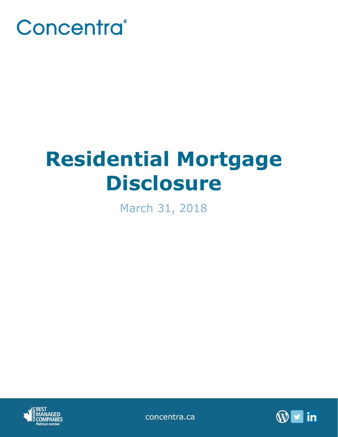

# **Residential Mortgage Disclosure**

March 31, 2018



concentra.ca

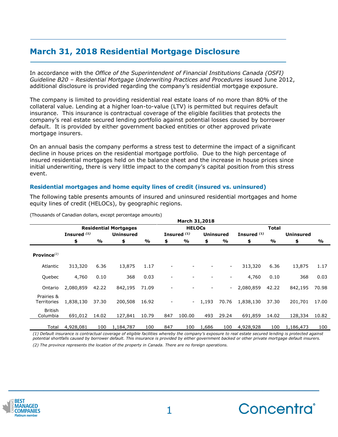# **March 31, 2018 Residential Mortgage Disclosure**

In accordance with the *Office of the Superintendent of Financial Institutions Canada (OSFI) Guideline B20 – Residential Mortgage Underwriting Practices and Procedures* issued June 2012, additional disclosure is provided regarding the company's residential mortgage exposure.

The company is limited to providing residential real estate loans of no more than 80% of the collateral value. Lending at a higher loan-to-value (LTV) is permitted but requires default insurance. This insurance is contractual coverage of the eligible facilities that protects the company's real estate secured lending portfolio against potential losses caused by borrower default. It is provided by either government backed entities or other approved private mortgage insurers.

On an annual basis the company performs a stress test to determine the impact of a significant decline in house prices on the residential mortgage portfolio. Due to the high percentage of insured residential mortgages held on the balance sheet and the increase in house prices since initial underwriting, there is very little impact to the company's capital position from this stress event.

## **Residential mortgages and home equity lines of credit (insured vs. uninsured)**

The following table presents amounts of insured and uninsured residential mortgages and home equity lines of credit (HELOCs), by geographic regions.

|                            |                              |       |                  |       |               | <b>March 31,2018</b>   |       |                          |               |       |                  |       |
|----------------------------|------------------------------|-------|------------------|-------|---------------|------------------------|-------|--------------------------|---------------|-------|------------------|-------|
|                            | <b>Residential Mortgages</b> |       |                  |       | <b>HELOCs</b> |                        |       |                          | <b>Total</b>  |       |                  |       |
|                            | Insured $(1)$                |       | <b>Uninsured</b> |       |               | Insured <sup>(1)</sup> |       | <b>Uninsured</b>         | Insured $(1)$ |       | <b>Uninsured</b> |       |
|                            | \$                           | %     | \$               | %     | \$            | %                      | \$    | %                        | \$            | %     | \$               | %     |
| Province $^{(2)}$          |                              |       |                  |       |               |                        |       |                          |               |       |                  |       |
| Atlantic                   | 313,320                      | 6.36  | 13,875           | 1.17  |               |                        |       | $\overline{\phantom{a}}$ | 313,320       | 6.36  | 13,875           | 1.17  |
| Quebec                     | 4,760                        | 0.10  | 368              | 0.03  |               |                        |       | -                        | 4,760         | 0.10  | 368              | 0.03  |
| Ontario                    | 2,080,859                    | 42.22 | 842,195          | 71.09 |               |                        |       | $\sim$                   | 2,080,859     | 42.22 | 842,195          | 70.98 |
| Prairies &<br>Territories  | 1,838,130                    | 37.30 | 200,508          | 16.92 |               | $\sim$                 | 1,193 | 70.76                    | 1,838,130     | 37.30 | 201,701          | 17.00 |
| <b>British</b><br>Columbia | 691,012                      | 14.02 | 127,841          | 10.79 | 847           | 100.00                 | 493   | 29.24                    | 691,859       | 14.02 | 128,334          | 10.82 |
| Total                      | 4,928,081                    | 100   | 1,184,787        | 100   | 847           | 100                    | 1,686 | 100                      | 4,928,928     | 100   | 1,186,473        | 100   |

(Thousands of Canadian dollars, except percentage amounts)

*(1) Default insurance is contractual coverage of eligible facilities whereby the company's exposure to real estate secured lending is protected against potential shortfalls caused by borrower default. This insurance is provided by either government backed or other private mortgage default insurers. (2) The province represents the location of the property in Canada. There are no foreign operations.*



**\_\_\_\_\_\_\_\_\_\_\_\_\_\_\_\_\_\_\_\_\_\_\_\_\_\_\_\_\_\_\_\_\_\_\_\_\_\_\_\_\_\_\_\_**